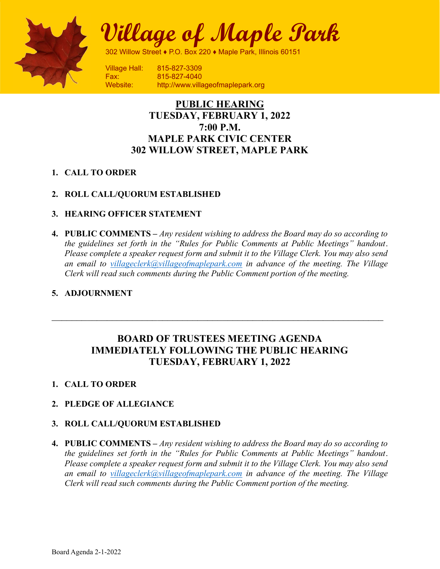

Village of Maple Park

302 Willow Street ♦ P.O. Box 220 ♦ Maple Park, Illinois 60151

Fax: 815-827-4040 Website: http://www.villageofmaplepark.org

# PUBLIC HEARING TUESDAY, FEBRUARY 1, 2022 7:00 P.M. MAPLE PARK CIVIC CENTER 302 WILLOW STREET, MAPLE PARK

## 1. CALL TO ORDER

# 2. ROLL CALL/QUORUM ESTABLISHED

- 3. HEARING OFFICER STATEMENT
- 4. PUBLIC COMMENTS Any resident wishing to address the Board may do so according to the guidelines set forth in the "Rules for Public Comments at Public Meetings" handout. Please complete a speaker request form and submit it to the Village Clerk. You may also send an email to villageclerk@villageofmaplepark.com in advance of the meeting. The Village Clerk will read such comments during the Public Comment portion of the meeting.

# 5. ADJOURNMENT

# BOARD OF TRUSTEES MEETING AGENDA IMMEDIATELY FOLLOWING THE PUBLIC HEARING TUESDAY, FEBRUARY 1, 2022

## 1. CALL TO ORDER

## 2. PLEDGE OF ALLEGIANCE

## 3. ROLL CALL/QUORUM ESTABLISHED

4. PUBLIC COMMENTS – Any resident wishing to address the Board may do so according to the guidelines set forth in the "Rules for Public Comments at Public Meetings" handout. Please complete a speaker request form and submit it to the Village Clerk. You may also send an email to villageclerk@villageofmaplepark.com in advance of the meeting. The Village Clerk will read such comments during the Public Comment portion of the meeting.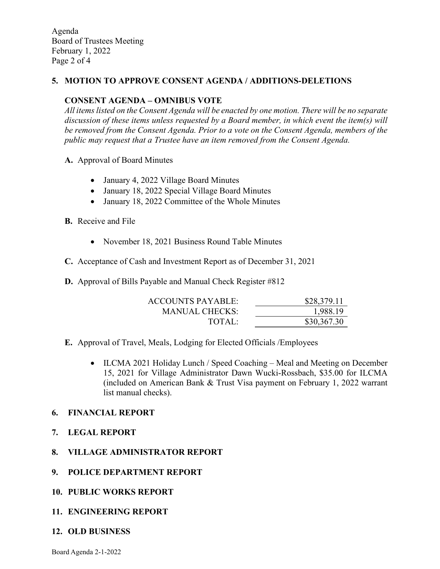Agenda Board of Trustees Meeting February 1, 2022 Page 2 of 4

#### 5. MOTION TO APPROVE CONSENT AGENDA / ADDITIONS-DELETIONS

#### CONSENT AGENDA – OMNIBUS VOTE

All items listed on the Consent Agenda will be enacted by one motion. There will be no separate discussion of these items unless requested by a Board member, in which event the item(s) will be removed from the Consent Agenda. Prior to a vote on the Consent Agenda, members of the public may request that a Trustee have an item removed from the Consent Agenda.

- A. Approval of Board Minutes
	- January 4, 2022 Village Board Minutes
	- January 18, 2022 Special Village Board Minutes
	- January 18, 2022 Committee of the Whole Minutes
- B. Receive and File
	- November 18, 2021 Business Round Table Minutes
- C. Acceptance of Cash and Investment Report as of December 31, 2021
- D. Approval of Bills Payable and Manual Check Register #812

| ACCOUNTS PAYABLE: | \$28,379.11 |
|-------------------|-------------|
| MANUAL CHECKS:    | 1,988.19    |
| TOTAI:            | \$30,367.30 |

- E. Approval of Travel, Meals, Lodging for Elected Officials /Employees
	- ILCMA 2021 Holiday Lunch / Speed Coaching Meal and Meeting on December 15, 2021 for Village Administrator Dawn Wucki-Rossbach, \$35.00 for ILCMA (included on American Bank & Trust Visa payment on February 1, 2022 warrant list manual checks).

#### 6. FINANCIAL REPORT

- 7. LEGAL REPORT
- 8. VILLAGE ADMINISTRATOR REPORT
- 9. POLICE DEPARTMENT REPORT
- 10. PUBLIC WORKS REPORT
- 11. ENGINEERING REPORT
- 12. OLD BUSINESS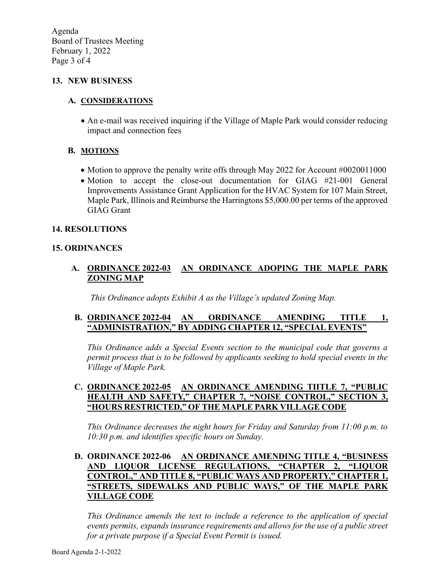Agenda Board of Trustees Meeting February 1, 2022 Page 3 of 4

#### 13. NEW BUSINESS

#### A. CONSIDERATIONS

 An e-mail was received inquiring if the Village of Maple Park would consider reducing impact and connection fees

#### B. MOTIONS

- Motion to approve the penalty write offs through May 2022 for Account #0020011000
- Motion to accept the close-out documentation for GIAG #21-001 General Improvements Assistance Grant Application for the HVAC System for 107 Main Street, Maple Park, Illinois and Reimburse the Harringtons \$5,000.00 per terms of the approved GIAG Grant

#### 14. RESOLUTIONS

#### 15. ORDINANCES

### A. ORDINANCE 2022-03 AN ORDINANCE ADOPING THE MAPLE PARK ZONING MAP

This Ordinance adopts Exhibit A as the Village's updated Zoning Map.

#### B. ORDINANCE 2022-04 AN ORDINANCE AMENDING TITLE 1, "ADMINISTRATION," BY ADDING CHAPTER 12, "SPECIAL EVENTS"

This Ordinance adds a Special Events section to the municipal code that governs a permit process that is to be followed by applicants seeking to hold special events in the Village of Maple Park.

#### C. ORDINANCE 2022-05 AN ORDINANCE AMENDING TIITLE 7, "PUBLIC HEALTH AND SAFETY," CHAPTER 7, "NOISE CONTROL," SECTION 3, "HOURS RESTRICTED," OF THE MAPLE PARK VILLAGE CODE

This Ordinance decreases the night hours for Friday and Saturday from 11:00 p.m. to 10:30 p.m. and identifies specific hours on Sunday.

### D. ORDINANCE 2022-06 AN ORDINANCE AMENDING TITLE 4, "BUSINESS AND LIQUOR LICENSE REGULATIONS, "CHAPTER 2, "LIQUOR CONTROL," AND TITLE 8, "PUBLIC WAYS AND PROPERTY," CHAPTER 1, "STREETS, SIDEWALKS AND PUBLIC WAYS," OF THE MAPLE PARK VILLAGE CODE

This Ordinance amends the text to include a reference to the application of special events permits, expands insurance requirements and allows for the use of a public street for a private purpose if a Special Event Permit is issued.